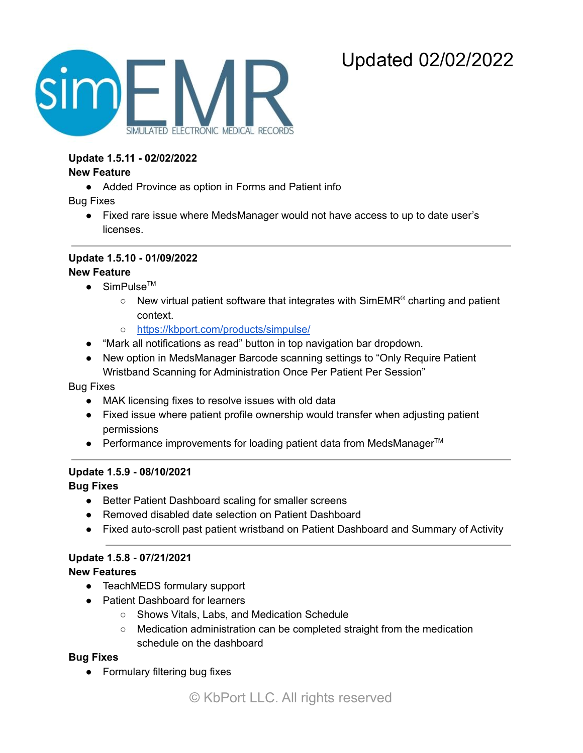# Updated 02/02/2022



**Update 1.5.11 - 02/02/2022**

#### **New Feature**

● Added Province as option in Forms and Patient info

Bug Fixes

● Fixed rare issue where MedsManager would not have access to up to date user's licenses.

#### **Update 1.5.10 - 01/09/2022**

#### **New Feature**

- $\bullet$  SimPulse<sup>TM</sup>
	- $\circ$  New virtual patient software that integrates with SimEMR® charting and patient context.
	- <https://kbport.com/products/simpulse/>
- "Mark all notifications as read" button in top navigation bar dropdown.
- New option in MedsManager Barcode scanning settings to "Only Require Patient Wristband Scanning for Administration Once Per Patient Per Session"

Bug Fixes

- MAK licensing fixes to resolve issues with old data
- Fixed issue where patient profile ownership would transfer when adjusting patient permissions
- Performance improvements for loading patient data from MedsManager<sup>™</sup>

#### **Update 1.5.9 - 08/10/2021**

**Bug Fixes**

- Better Patient Dashboard scaling for smaller screens
- Removed disabled date selection on Patient Dashboard
- Fixed auto-scroll past patient wristband on Patient Dashboard and Summary of Activity

#### **Update 1.5.8 - 07/21/2021**

#### **New Features**

- TeachMEDS formulary support
- Patient Dashboard for learners
	- Shows Vitals, Labs, and Medication Schedule
	- Medication administration can be completed straight from the medication schedule on the dashboard

#### **Bug Fixes**

• Formulary filtering bug fixes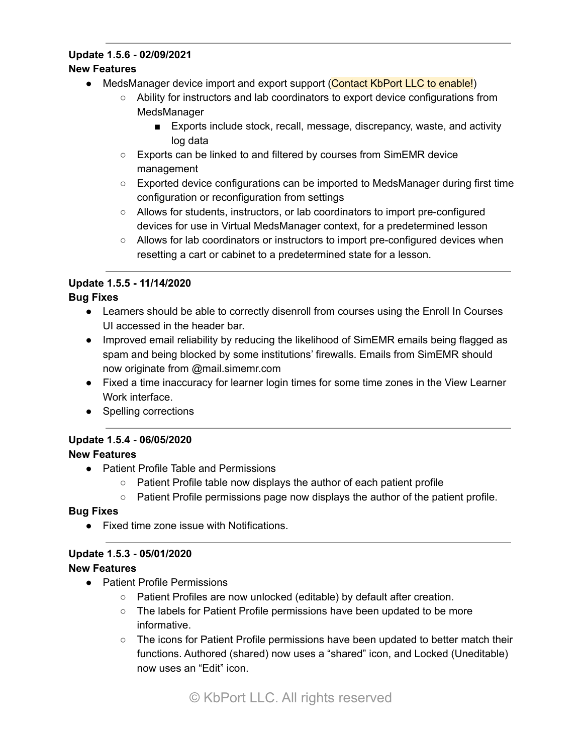# **Update 1.5.6 - 02/09/2021**

#### **New Features**

- MedsManager device import and export support (Contact KbPort LLC to enable!)
	- Ability for instructors and lab coordinators to export device configurations from MedsManager
		- Exports include stock, recall, message, discrepancy, waste, and activity log data
	- Exports can be linked to and filtered by courses from SimEMR device management
	- Exported device configurations can be imported to MedsManager during first time configuration or reconfiguration from settings
	- Allows for students, instructors, or lab coordinators to import pre-configured devices for use in Virtual MedsManager context, for a predetermined lesson
	- Allows for lab coordinators or instructors to import pre-configured devices when resetting a cart or cabinet to a predetermined state for a lesson.

## **Update 1.5.5 - 11/14/2020**

#### **Bug Fixes**

- Learners should be able to correctly disenroll from courses using the Enroll In Courses UI accessed in the header bar.
- Improved email reliability by reducing the likelihood of SimEMR emails being flagged as spam and being blocked by some institutions' firewalls. Emails from SimEMR should now originate from @mail.simemr.com
- Fixed a time inaccuracy for learner login times for some time zones in the View Learner Work interface.
- Spelling corrections

## **Update 1.5.4 - 06/05/2020**

### **New Features**

- Patient Profile Table and Permissions
	- Patient Profile table now displays the author of each patient profile
	- Patient Profile permissions page now displays the author of the patient profile.

#### **Bug Fixes**

● Fixed time zone issue with Notifications.

#### **Update 1.5.3 - 05/01/2020**

- Patient Profile Permissions
	- Patient Profiles are now unlocked (editable) by default after creation.
	- The labels for Patient Profile permissions have been updated to be more informative.
	- The icons for Patient Profile permissions have been updated to better match their functions. Authored (shared) now uses a "shared" icon, and Locked (Uneditable) now uses an "Edit" icon.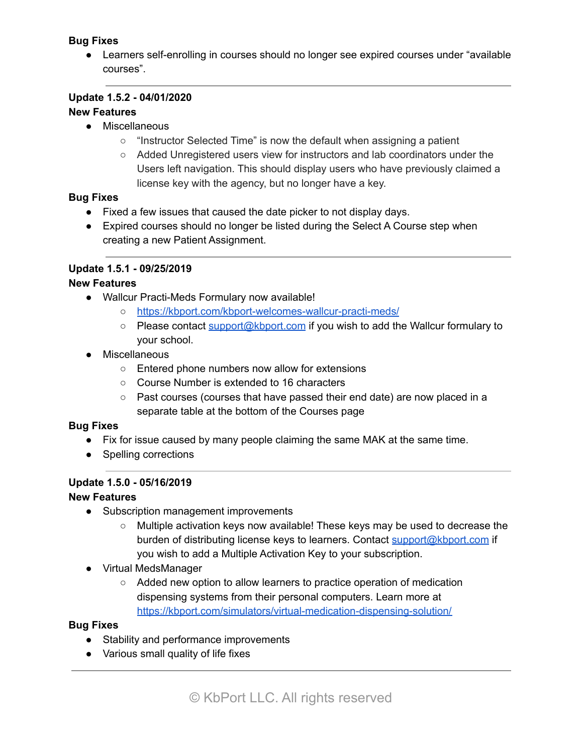#### **Bug Fixes**

● Learners self-enrolling in courses should no longer see expired courses under "available" courses".

#### **Update 1.5.2 - 04/01/2020**

#### **New Features**

- Miscellaneous
	- "Instructor Selected Time" is now the default when assigning a patient
	- Added Unregistered users view for instructors and lab coordinators under the Users left navigation. This should display users who have previously claimed a license key with the agency, but no longer have a key.

#### **Bug Fixes**

- Fixed a few issues that caused the date picker to not display days.
- Expired courses should no longer be listed during the Select A Course step when creating a new Patient Assignment.

#### **Update 1.5.1 - 09/25/2019**

#### **New Features**

- Wallcur Practi-Meds Formulary now available!
	- <https://kbport.com/kbport-welcomes-wallcur-practi-meds/>
	- Please contact [support@kbport.com](mailto:support@kbport.com) if you wish to add the Wallcur formulary to your school.
- Miscellaneous
	- Entered phone numbers now allow for extensions
	- Course Number is extended to 16 characters
	- Past courses (courses that have passed their end date) are now placed in a separate table at the bottom of the Courses page

#### **Bug Fixes**

- Fix for issue caused by many people claiming the same MAK at the same time.
- Spelling corrections

#### **Update 1.5.0 - 05/16/2019**

#### **New Features**

- Subscription management improvements
	- Multiple activation keys now available! These keys may be used to decrease the burden of distributing license keys to learners. Contact [support@kbport.com](mailto:support@kbport.com) if you wish to add a Multiple Activation Key to your subscription.
- Virtual MedsManager
	- Added new option to allow learners to practice operation of medication dispensing systems from their personal computers. Learn more at <https://kbport.com/simulators/virtual-medication-dispensing-solution/>

#### **Bug Fixes**

- Stability and performance improvements
- Various small quality of life fixes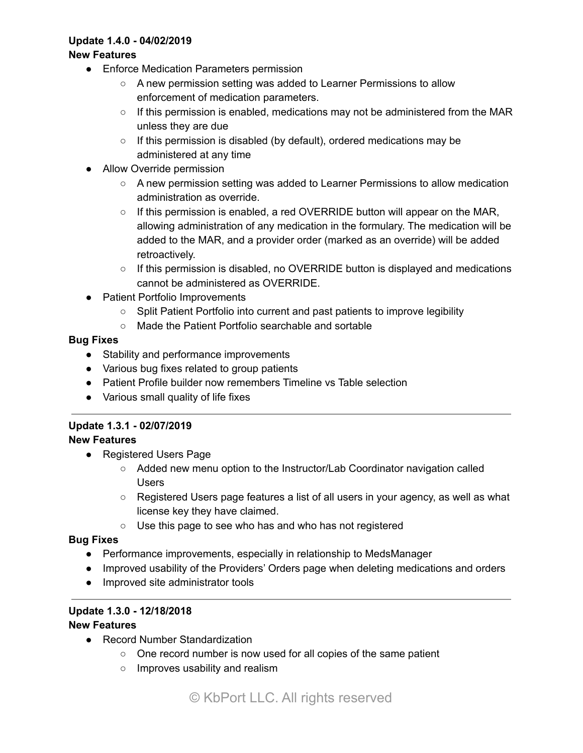#### **Update 1.4.0 - 04/02/2019**

#### **New Features**

- Enforce Medication Parameters permission
	- A new permission setting was added to Learner Permissions to allow enforcement of medication parameters.
	- $\circ$  If this permission is enabled, medications may not be administered from the MAR unless they are due
	- If this permission is disabled (by default), ordered medications may be administered at any time
- Allow Override permission
	- A new permission setting was added to Learner Permissions to allow medication administration as override.
	- $\circ$  If this permission is enabled, a red OVERRIDE button will appear on the MAR, allowing administration of any medication in the formulary. The medication will be added to the MAR, and a provider order (marked as an override) will be added retroactively.
	- $\circ$  If this permission is disabled, no OVERRIDE button is displayed and medications cannot be administered as OVERRIDE.
- Patient Portfolio Improvements
	- Split Patient Portfolio into current and past patients to improve legibility
	- Made the Patient Portfolio searchable and sortable

#### **Bug Fixes**

- Stability and performance improvements
- Various bug fixes related to group patients
- Patient Profile builder now remembers Timeline vs Table selection
- Various small quality of life fixes

#### **Update 1.3.1 - 02/07/2019**

#### **New Features**

- Registered Users Page
	- Added new menu option to the Instructor/Lab Coordinator navigation called Users
	- Registered Users page features a list of all users in your agency, as well as what license key they have claimed.
	- Use this page to see who has and who has not registered

#### **Bug Fixes**

- Performance improvements, especially in relationship to MedsManager
- Improved usability of the Providers' Orders page when deleting medications and orders
- Improved site administrator tools

#### **Update 1.3.0 - 12/18/2018**

- Record Number Standardization
	- One record number is now used for all copies of the same patient
	- Improves usability and realism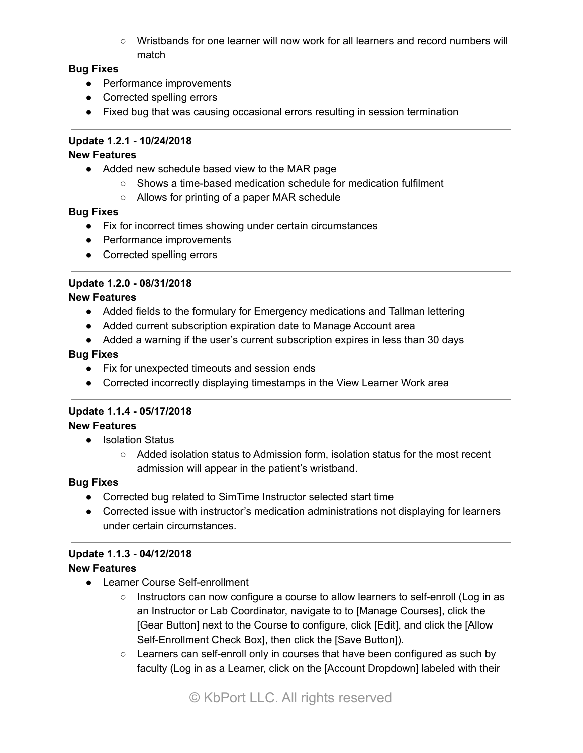○ Wristbands for one learner will now work for all learners and record numbers will match

#### **Bug Fixes**

- Performance improvements
- Corrected spelling errors
- Fixed bug that was causing occasional errors resulting in session termination

#### **Update 1.2.1 - 10/24/2018**

#### **New Features**

- Added new schedule based view to the MAR page
	- Shows a time-based medication schedule for medication fulfilment
	- Allows for printing of a paper MAR schedule

#### **Bug Fixes**

- Fix for incorrect times showing under certain circumstances
- Performance improvements
- Corrected spelling errors

#### **Update 1.2.0 - 08/31/2018**

#### **New Features**

- Added fields to the formulary for Emergency medications and Tallman lettering
- Added current subscription expiration date to Manage Account area
- Added a warning if the user's current subscription expires in less than 30 days

#### **Bug Fixes**

- Fix for unexpected timeouts and session ends
- Corrected incorrectly displaying timestamps in the View Learner Work area

#### **Update 1.1.4 - 05/17/2018**

#### **New Features**

- Isolation Status
	- Added isolation status to Admission form, isolation status for the most recent admission will appear in the patient's wristband.

#### **Bug Fixes**

- Corrected bug related to SimTime Instructor selected start time
- Corrected issue with instructor's medication administrations not displaying for learners under certain circumstances.

#### **Update 1.1.3 - 04/12/2018**

- Learner Course Self-enrollment
	- Instructors can now configure a course to allow learners to self-enroll (Log in as an Instructor or Lab Coordinator, navigate to to [Manage Courses], click the [Gear Button] next to the Course to configure, click [Edit], and click the [Allow Self-Enrollment Check Box], then click the [Save Button]).
	- Learners can self-enroll only in courses that have been configured as such by faculty (Log in as a Learner, click on the [Account Dropdown] labeled with their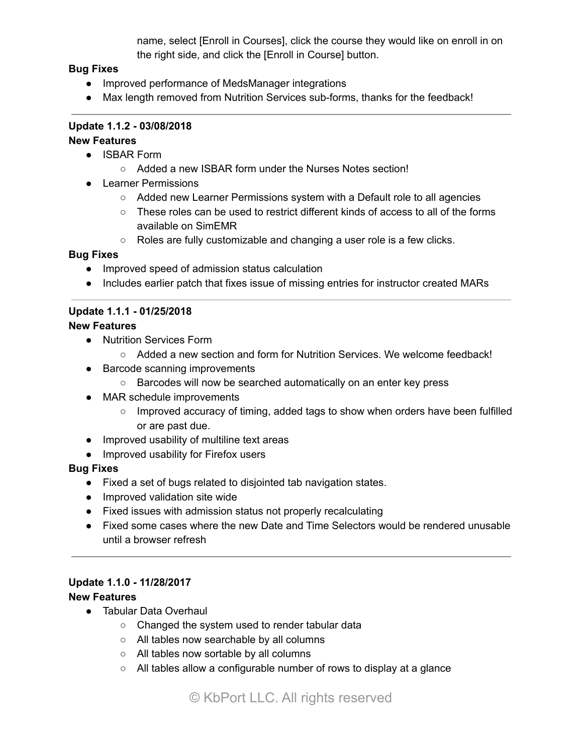name, select [Enroll in Courses], click the course they would like on enroll in on the right side, and click the [Enroll in Course] button.

#### **Bug Fixes**

- Improved performance of MedsManager integrations
- Max length removed from Nutrition Services sub-forms, thanks for the feedback!

## **Update 1.1.2 - 03/08/2018**

#### **New Features**

- ISBAR Form
	- Added a new ISBAR form under the Nurses Notes section!
- Learner Permissions
	- Added new Learner Permissions system with a Default role to all agencies
	- $\circ$  These roles can be used to restrict different kinds of access to all of the forms available on SimEMR
	- Roles are fully customizable and changing a user role is a few clicks.

#### **Bug Fixes**

- Improved speed of admission status calculation
- Includes earlier patch that fixes issue of missing entries for instructor created MARs

### **Update 1.1.1 - 01/25/2018**

#### **New Features**

- Nutrition Services Form
	- Added a new section and form for Nutrition Services. We welcome feedback!
- Barcode scanning improvements
	- Barcodes will now be searched automatically on an enter key press
- MAR schedule improvements
	- o Improved accuracy of timing, added tags to show when orders have been fulfilled or are past due.
- Improved usability of multiline text areas
- Improved usability for Firefox users

#### **Bug Fixes**

- Fixed a set of bugs related to disjointed tab navigation states.
- Improved validation site wide
- Fixed issues with admission status not properly recalculating
- Fixed some cases where the new Date and Time Selectors would be rendered unusable until a browser refresh

#### **Update 1.1.0 - 11/28/2017**

- Tabular Data Overhaul
	- Changed the system used to render tabular data
	- All tables now searchable by all columns
	- All tables now sortable by all columns
	- All tables allow a configurable number of rows to display at a glance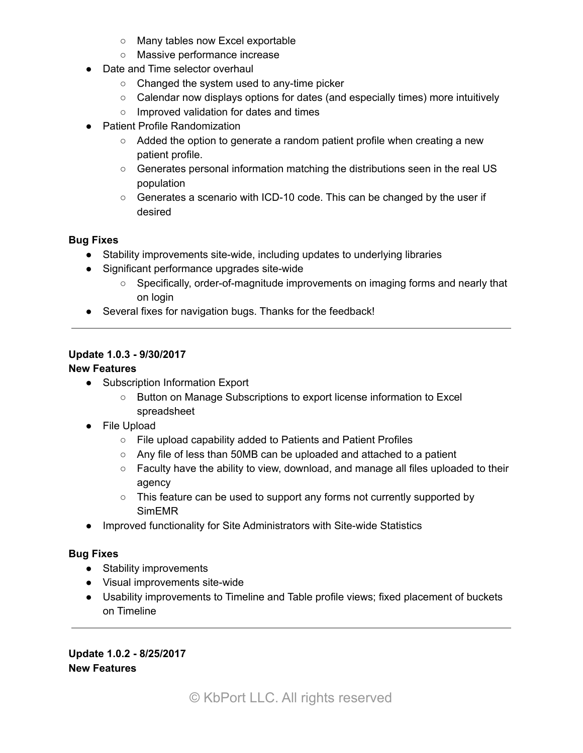- Many tables now Excel exportable
- Massive performance increase
- Date and Time selector overhaul
	- Changed the system used to any-time picker
	- Calendar now displays options for dates (and especially times) more intuitively
	- Improved validation for dates and times
- Patient Profile Randomization
	- Added the option to generate a random patient profile when creating a new patient profile.
	- Generates personal information matching the distributions seen in the real US population
	- $\circ$  Generates a scenario with ICD-10 code. This can be changed by the user if desired

#### **Bug Fixes**

- Stability improvements site-wide, including updates to underlying libraries
- Significant performance upgrades site-wide
	- Specifically, order-of-magnitude improvements on imaging forms and nearly that on login
- Several fixes for navigation bugs. Thanks for the feedback!

#### **Update 1.0.3 - 9/30/2017**

#### **New Features**

- Subscription Information Export
	- Button on Manage Subscriptions to export license information to Excel spreadsheet
- File Upload
	- File upload capability added to Patients and Patient Profiles
	- Any file of less than 50MB can be uploaded and attached to a patient
	- $\circ$  Faculty have the ability to view, download, and manage all files uploaded to their agency
	- This feature can be used to support any forms not currently supported by SimEMR
- Improved functionality for Site Administrators with Site-wide Statistics

#### **Bug Fixes**

- Stability improvements
- Visual improvements site-wide
- Usability improvements to Timeline and Table profile views; fixed placement of buckets on Timeline

**Update 1.0.2 - 8/25/2017 New Features**